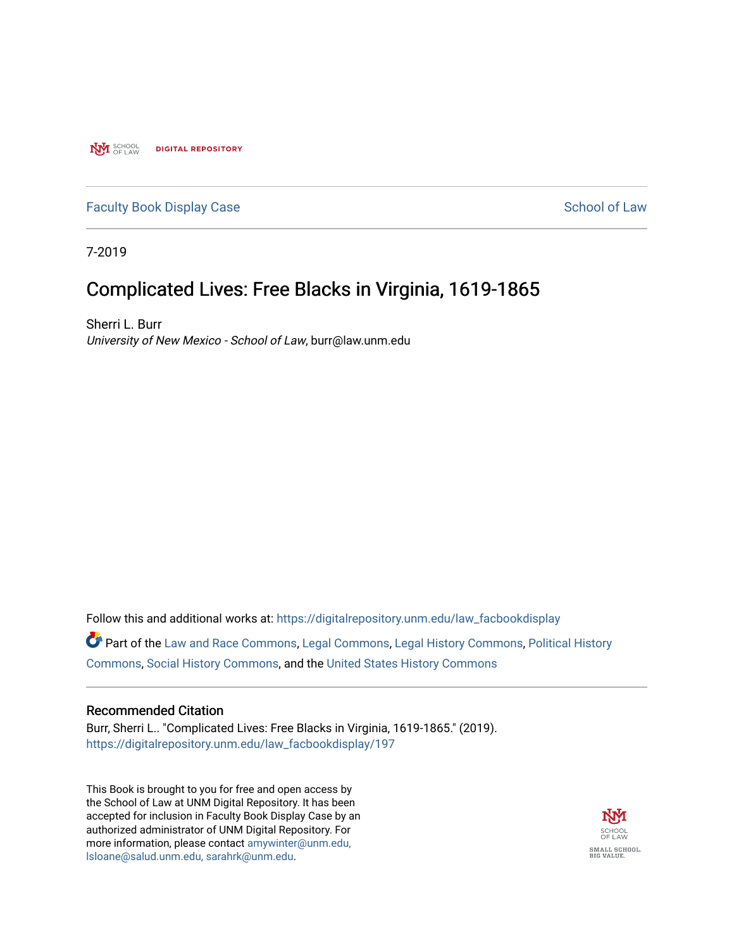**NVI** SCHOOL **DIGITAL REPOSITORY** 

## [Faculty Book Display Case](https://digitalrepository.unm.edu/law_facbookdisplay) School of Law

7-2019

## Complicated Lives: Free Blacks in Virginia, 1619-1865

Sherri L. Burr University of New Mexico - School of Law, burr@law.unm.edu

Follow this and additional works at: [https://digitalrepository.unm.edu/law\\_facbookdisplay](https://digitalrepository.unm.edu/law_facbookdisplay?utm_source=digitalrepository.unm.edu%2Flaw_facbookdisplay%2F197&utm_medium=PDF&utm_campaign=PDFCoverPages) 

Part of the [Law and Race Commons,](http://network.bepress.com/hgg/discipline/1300?utm_source=digitalrepository.unm.edu%2Flaw_facbookdisplay%2F197&utm_medium=PDF&utm_campaign=PDFCoverPages) [Legal Commons](http://network.bepress.com/hgg/discipline/502?utm_source=digitalrepository.unm.edu%2Flaw_facbookdisplay%2F197&utm_medium=PDF&utm_campaign=PDFCoverPages), [Legal History Commons](http://network.bepress.com/hgg/discipline/904?utm_source=digitalrepository.unm.edu%2Flaw_facbookdisplay%2F197&utm_medium=PDF&utm_campaign=PDFCoverPages), [Political History](http://network.bepress.com/hgg/discipline/505?utm_source=digitalrepository.unm.edu%2Flaw_facbookdisplay%2F197&utm_medium=PDF&utm_campaign=PDFCoverPages)  [Commons](http://network.bepress.com/hgg/discipline/505?utm_source=digitalrepository.unm.edu%2Flaw_facbookdisplay%2F197&utm_medium=PDF&utm_campaign=PDFCoverPages), [Social History Commons,](http://network.bepress.com/hgg/discipline/506?utm_source=digitalrepository.unm.edu%2Flaw_facbookdisplay%2F197&utm_medium=PDF&utm_campaign=PDFCoverPages) and the [United States History Commons](http://network.bepress.com/hgg/discipline/495?utm_source=digitalrepository.unm.edu%2Flaw_facbookdisplay%2F197&utm_medium=PDF&utm_campaign=PDFCoverPages) 

#### Recommended Citation

Burr, Sherri L.. "Complicated Lives: Free Blacks in Virginia, 1619-1865." (2019). [https://digitalrepository.unm.edu/law\\_facbookdisplay/197](https://digitalrepository.unm.edu/law_facbookdisplay/197?utm_source=digitalrepository.unm.edu%2Flaw_facbookdisplay%2F197&utm_medium=PDF&utm_campaign=PDFCoverPages) 

This Book is brought to you for free and open access by the School of Law at UNM Digital Repository. It has been accepted for inclusion in Faculty Book Display Case by an authorized administrator of UNM Digital Repository. For more information, please contact [amywinter@unm.edu,](mailto:amywinter@unm.edu,%20lsloane@salud.unm.edu,%20sarahrk@unm.edu)  [lsloane@salud.unm.edu, sarahrk@unm.edu.](mailto:amywinter@unm.edu,%20lsloane@salud.unm.edu,%20sarahrk@unm.edu)

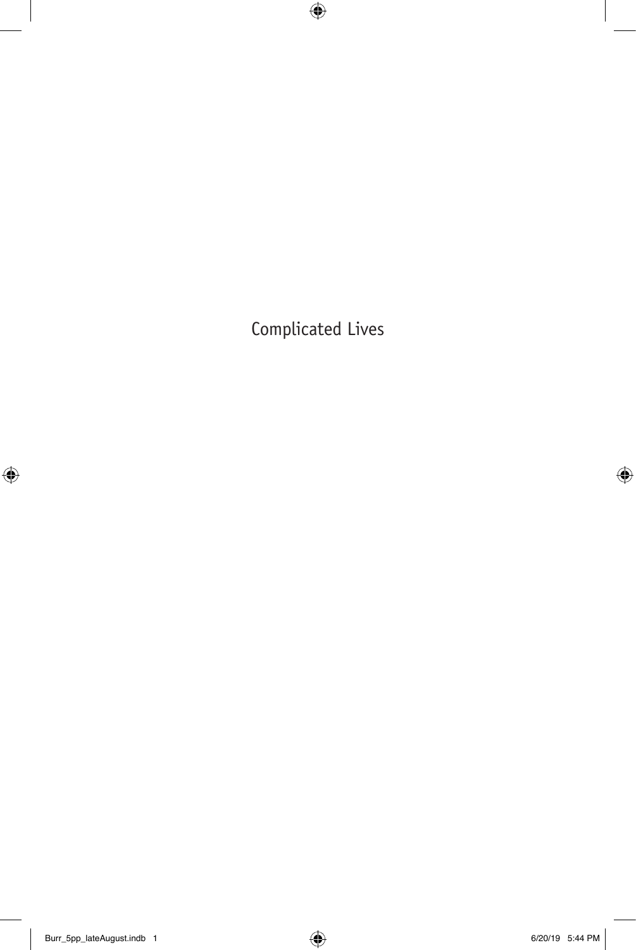Complicated Lives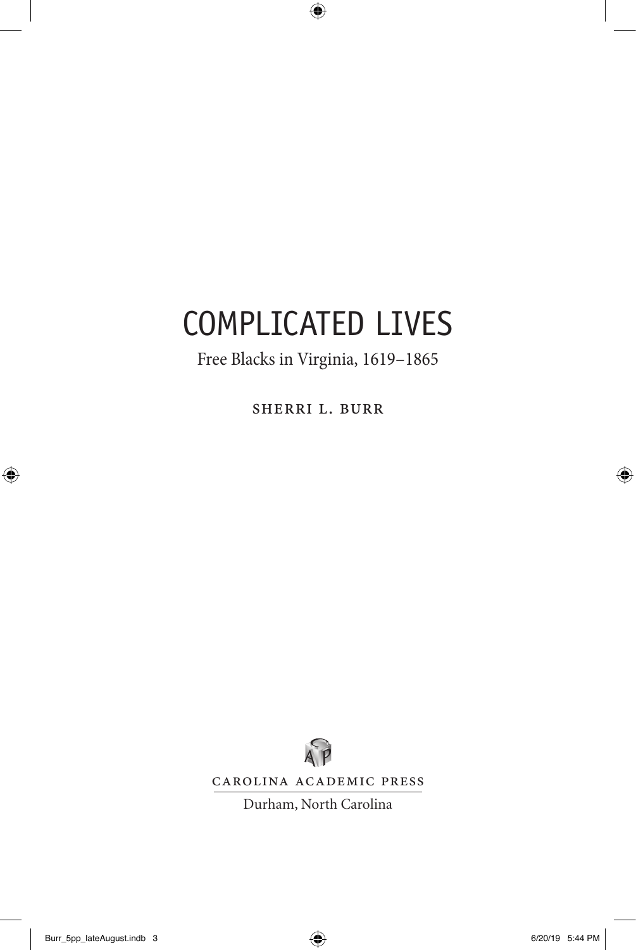# COMPLICATED LIVES

## Free Blacks in Virginia, 1619–1865

Sherri L. Burr



Carolina Academic Press

Durham, North Carolina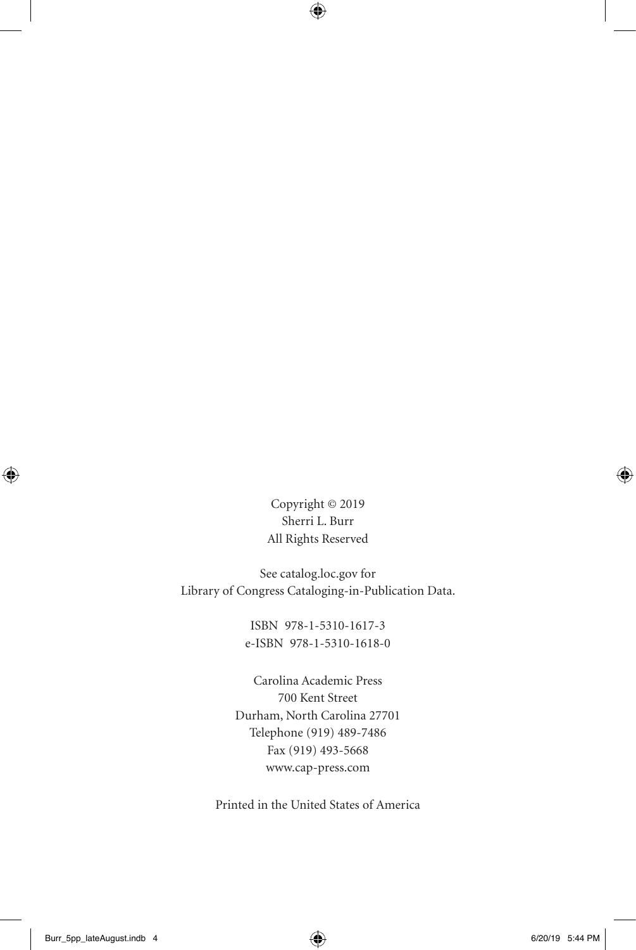Copyright © 2019 Sherri L. Burr All Rights Reserved

See catalog.loc.gov for Library of Congress Cataloging-in-Publication Data.

> ISBN 978-1-5310-1617-3 e-ISBN 978-1-5310-1618-0

Carolina Academic Press 700 Kent Street Durham, North Carolina 27701 Telephone (919) 489-7486 Fax (919) 493-5668 www.cap-press.com

Printed in the United States of America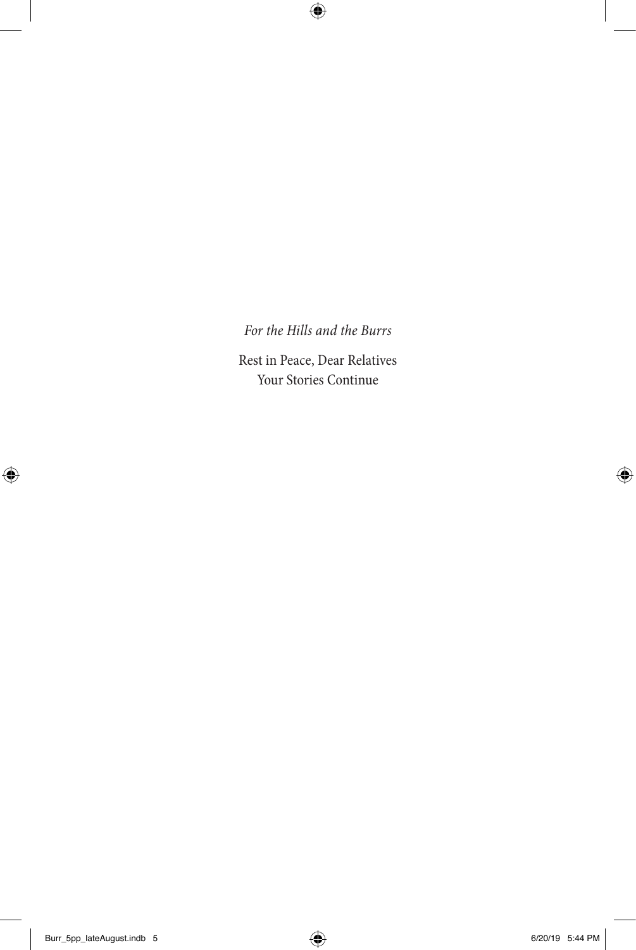## *For the Hills and the Burrs*

Rest in Peace, Dear Relatives Your Stories Continue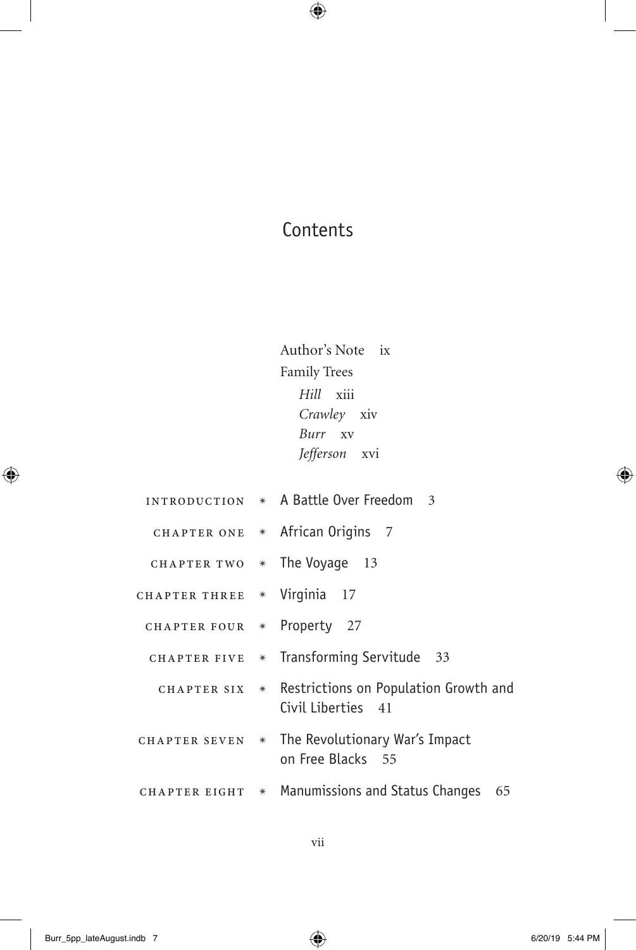## **Contents**

Author's Note ix Family Trees *Hill* xiii *Crawley* xiv *Burr* xv *Jefferson* xvi

introduction ✴ A Battle Over Freedom 3 CHAPTER ONE \* African Origins 7 CHAPTER TWO  $*$  The Voyage 13 CHAPTER THREE \* Virginia 17 Chapter four ✴ Property 27 CHAPTER FIVE \* Transforming Servitude 33 CHAPTER SIX \* Restrictions on Population Growth and Civil Liberties 41 CHAPTER SEVEN  $*$  The Revolutionary War's Impact on Free Blacks 55 CHAPTER EIGHT  $*$  Manumissions and Status Changes 65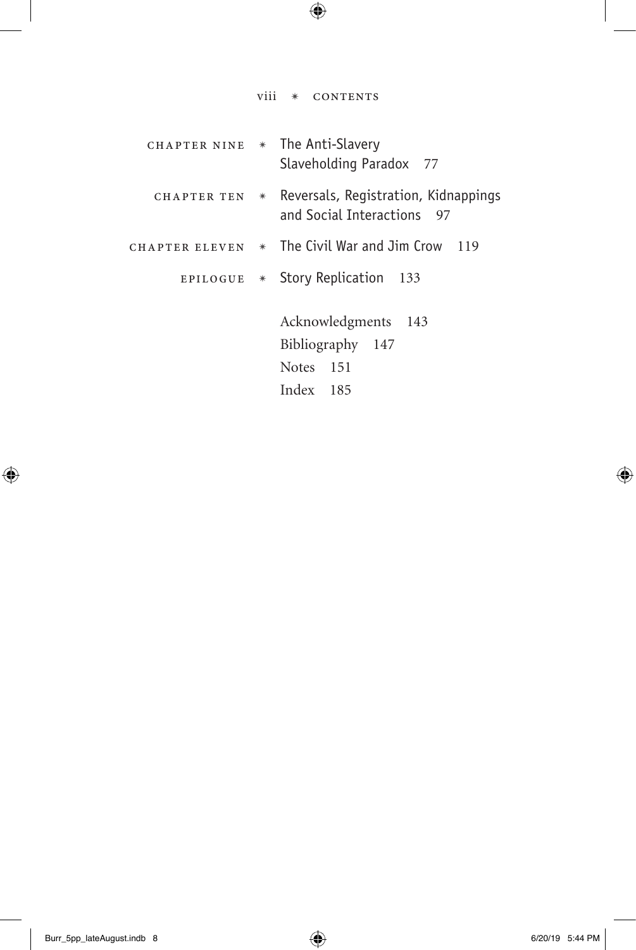|                | viii | $*$<br>CONTENTS                                                                        |
|----------------|------|----------------------------------------------------------------------------------------|
| CHAPTER NINE   |      | * The Anti-Slavery<br>Slaveholding Paradox 77                                          |
| CHAPTER TEN    | $*$  | Reversals, Registration, Kidnappings<br>and Social Interactions<br>97                  |
| CHAPTER ELEVEN |      | $*$ The Civil War and Jim Crow<br>119                                                  |
| EPILOGUE       |      | * Story Replication<br>-133                                                            |
|                |      | Acknowledgments<br>143<br>Bibliography<br>147<br><b>Notes</b><br>- 151<br>Index<br>185 |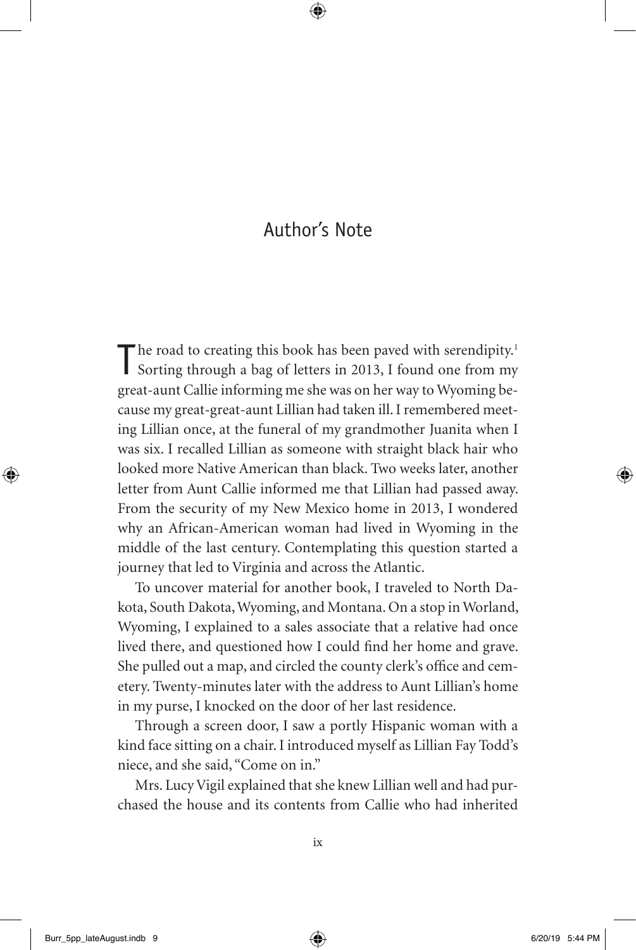## Author's Note

The road to creating this book has been paved with serendipity.<sup>1</sup><br>Sorting through a bag of letters in 2013, I found one from my great-aunt Callie informing me she was on her way to Wyoming because my great-great-aunt Lillian had taken ill. I remembered meeting Lillian once, at the funeral of my grandmother Juanita when I was six. I recalled Lillian as someone with straight black hair who looked more Native American than black. Two weeks later, another letter from Aunt Callie informed me that Lillian had passed away. From the security of my New Mexico home in 2013, I wondered why an African-American woman had lived in Wyoming in the middle of the last century. Contemplating this question started a journey that led to Virginia and across the Atlantic.

To uncover material for another book, I traveled to North Dakota, South Dakota, Wyoming, and Montana. On a stop in Worland, Wyoming, I explained to a sales associate that a relative had once lived there, and questioned how I could find her home and grave. She pulled out a map, and circled the county clerk's office and cemetery. Twenty-minutes later with the address to Aunt Lillian's home in my purse, I knocked on the door of her last residence.

Through a screen door, I saw a portly Hispanic woman with a kind face sitting on a chair. I introduced myself as Lillian Fay Todd's niece, and she said, "Come on in."

Mrs. Lucy Vigil explained that she knew Lillian well and had purchased the house and its contents from Callie who had inherited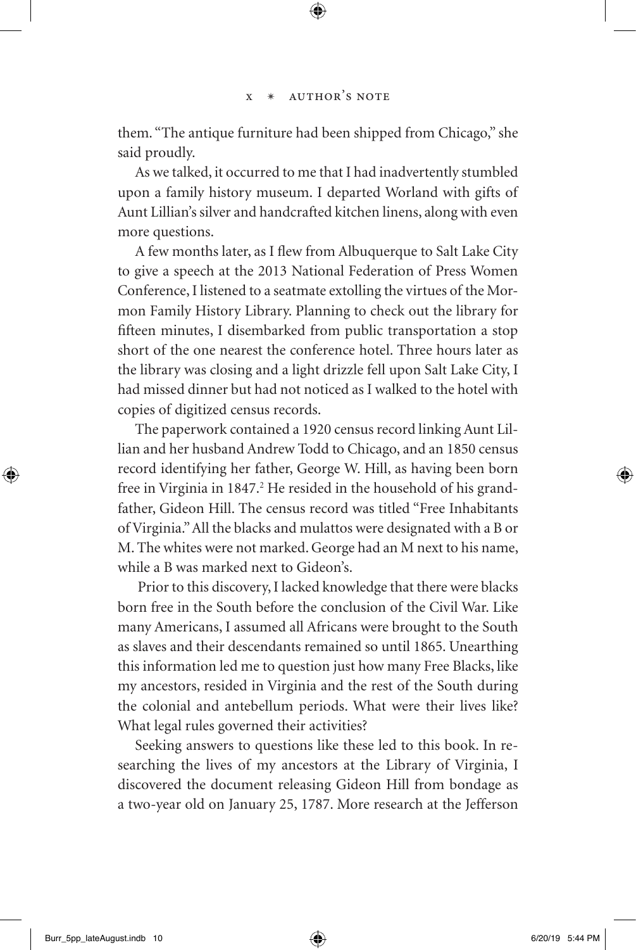them. "The antique furniture had been shipped from Chicago," she said proudly.

As we talked, it occurred to me that I had inadvertently stumbled upon a family history museum. I departed Worland with gifts of Aunt Lillian's silver and handcrafted kitchen linens, along with even more questions.

A few months later, as I flew from Albuquerque to Salt Lake City to give a speech at the 2013 National Federation of Press Women Conference, I listened to a seatmate extolling the virtues of the Mormon Family History Library. Planning to check out the library for fifteen minutes, I disembarked from public transportation a stop short of the one nearest the conference hotel. Three hours later as the library was closing and a light drizzle fell upon Salt Lake City, I had missed dinner but had not noticed as I walked to the hotel with copies of digitized census records.

The paperwork contained a 1920 census record linking Aunt Lillian and her husband Andrew Todd to Chicago, and an 1850 census record identifying her father, George W. Hill, as having been born free in Virginia in 1847.<sup>2</sup> He resided in the household of his grandfather, Gideon Hill. The census record was titled "Free Inhabitants of Virginia." All the blacks and mulattos were designated with a B or M. The whites were not marked. George had an M next to his name, while a B was marked next to Gideon's.

 Prior to this discovery, I lacked knowledge that there were blacks born free in the South before the conclusion of the Civil War. Like many Americans, I assumed all Africans were brought to the South as slaves and their descendants remained so until 1865. Unearthing this information led me to question just how many Free Blacks, like my ancestors, resided in Virginia and the rest of the South during the colonial and antebellum periods. What were their lives like? What legal rules governed their activities?

Seeking answers to questions like these led to this book. In researching the lives of my ancestors at the Library of Virginia, I discovered the document releasing Gideon Hill from bondage as a two-year old on January 25, 1787. More research at the Jefferson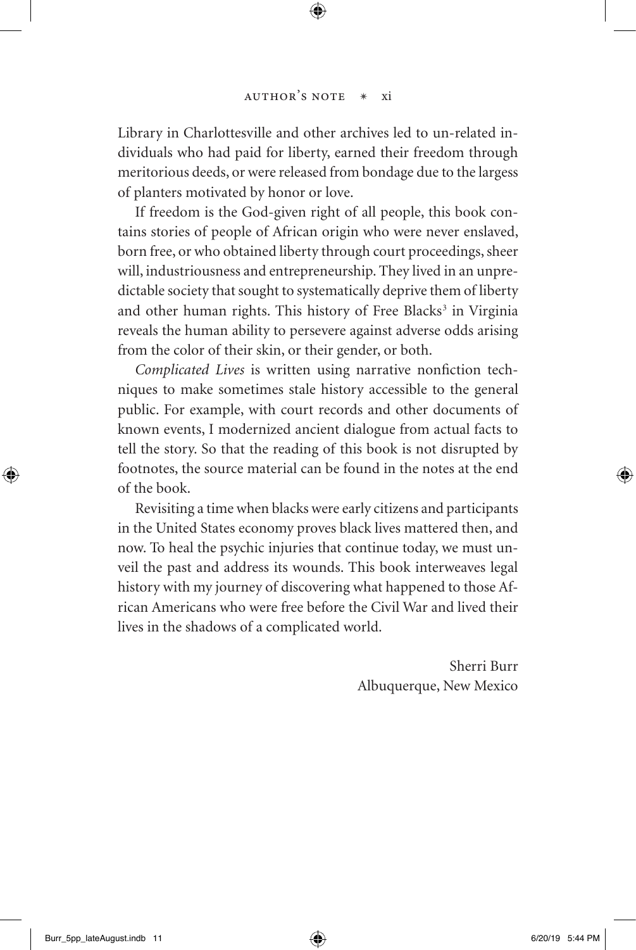Library in Charlottesville and other archives led to un-related individuals who had paid for liberty, earned their freedom through meritorious deeds, or were released from bondage due to the largess of planters motivated by honor or love.

If freedom is the God-given right of all people, this book contains stories of people of African origin who were never enslaved, born free, or who obtained liberty through court proceedings, sheer will, industriousness and entrepreneurship. They lived in an unpredictable society that sought to systematically deprive them of liberty and other human rights. This history of Free Blacks<sup>3</sup> in Virginia reveals the human ability to persevere against adverse odds arising from the color of their skin, or their gender, or both.

*Complicated Lives* is written using narrative nonfiction techniques to make sometimes stale history accessible to the general public. For example, with court records and other documents of known events, I modernized ancient dialogue from actual facts to tell the story. So that the reading of this book is not disrupted by footnotes, the source material can be found in the notes at the end of the book.

Revisiting a time when blacks were early citizens and participants in the United States economy proves black lives mattered then, and now. To heal the psychic injuries that continue today, we must unveil the past and address its wounds. This book interweaves legal history with my journey of discovering what happened to those African Americans who were free before the Civil War and lived their lives in the shadows of a complicated world.

> Sherri Burr Albuquerque, New Mexico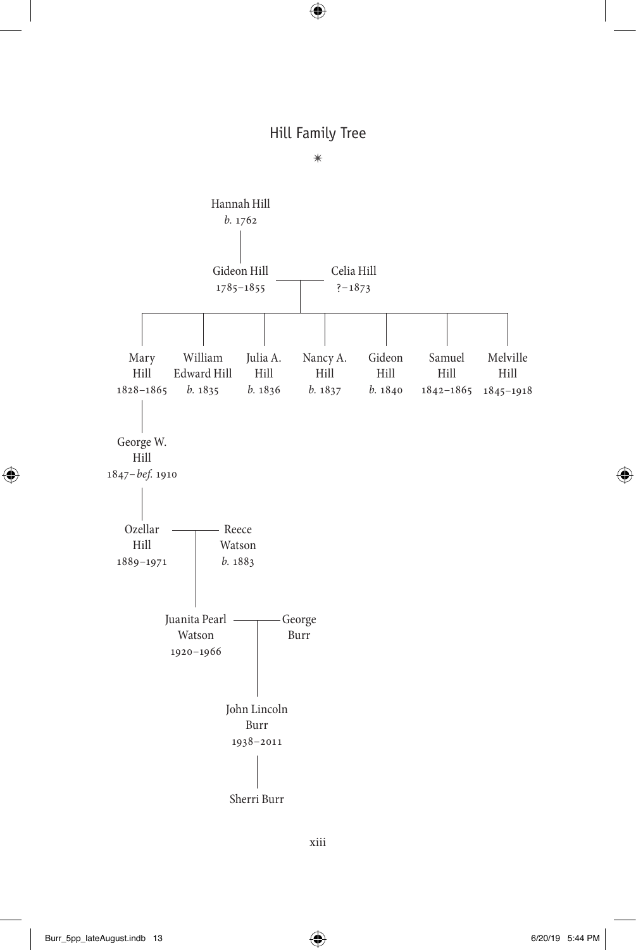#### Hill Family Tree



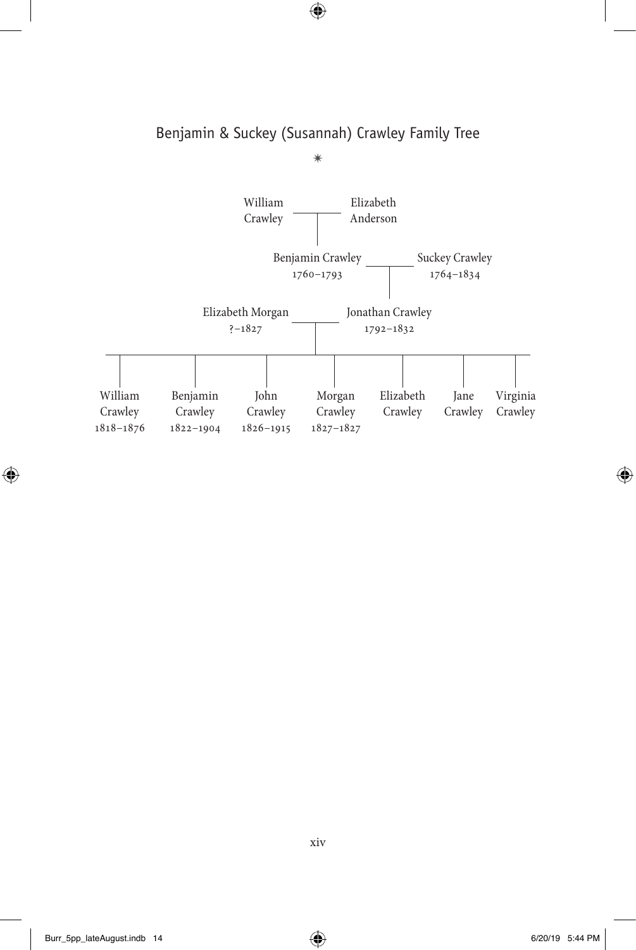### Benjamin & Suckey (Susannah) Crawley Family Tree ✴

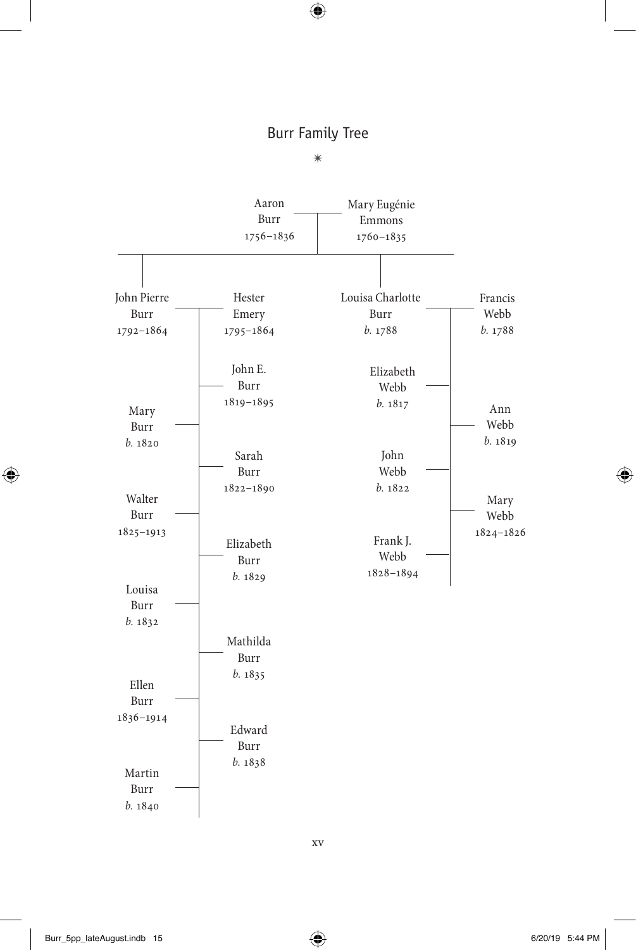#### Burr Family Tree

 $\ast$